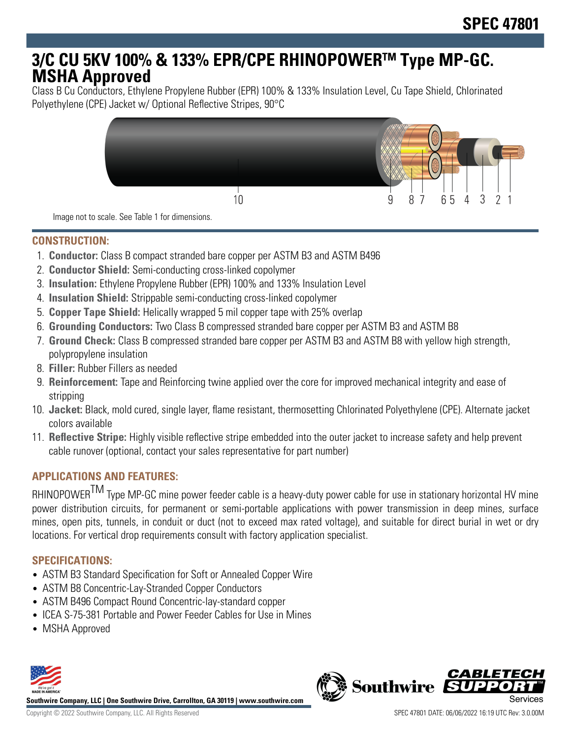# **3/C CU 5KV 100% & 133% EPR/CPE RHINOPOWERTM Type MP-GC. MSHA Approved**

Class B Cu Conductors, Ethylene Propylene Rubber (EPR) 100% & 133% Insulation Level, Cu Tape Shield, Chlorinated Polyethylene (CPE) Jacket w/ Optional Reflective Stripes, 90°C



Image not to scale. See Table 1 for dimensions.

#### **CONSTRUCTION:**

- 1. **Conductor:** Class B compact stranded bare copper per ASTM B3 and ASTM B496
- 2. **Conductor Shield:** Semi-conducting cross-linked copolymer
- 3. **Insulation:** Ethylene Propylene Rubber (EPR) 100% and 133% Insulation Level
- 4. **Insulation Shield:** Strippable semi-conducting cross-linked copolymer
- 5. **Copper Tape Shield:** Helically wrapped 5 mil copper tape with 25% overlap
- 6. **Grounding Conductors:** Two Class B compressed stranded bare copper per ASTM B3 and ASTM B8
- 7. **Ground Check:** Class B compressed stranded bare copper per ASTM B3 and ASTM B8 with yellow high strength, polypropylene insulation
- 8. **Filler:** Rubber Fillers as needed
- 9. **Reinforcement:** Tape and Reinforcing twine applied over the core for improved mechanical integrity and ease of stripping
- 10. **Jacket:** Black, mold cured, single layer, flame resistant, thermosetting Chlorinated Polyethylene (CPE). Alternate jacket colors available
- 11. **Reflective Stripe:** Highly visible reflective stripe embedded into the outer jacket to increase safety and help prevent cable runover (optional, contact your sales representative for part number)

## **APPLICATIONS AND FEATURES:**

RHINOPOWER<sup>TM</sup> Type MP-GC mine power feeder cable is a heavy-duty power cable for use in stationary horizontal HV mine power distribution circuits, for permanent or semi-portable applications with power transmission in deep mines, surface mines, open pits, tunnels, in conduit or duct (not to exceed max rated voltage), and suitable for direct burial in wet or dry locations. For vertical drop requirements consult with factory application specialist.

## **SPECIFICATIONS:**

- ASTM B3 Standard Specification for Soft or Annealed Copper Wire
- ASTM B8 Concentric-Lay-Stranded Copper Conductors
- ASTM B496 Compact Round Concentric-lay-standard copper
- ICEA S-75-381 Portable and Power Feeder Cables for Use in Mines
- MSHA Approved



**Southwire Company, LLC | One Southwire Drive, Carrollton, GA 30119 | www.southwire.com**

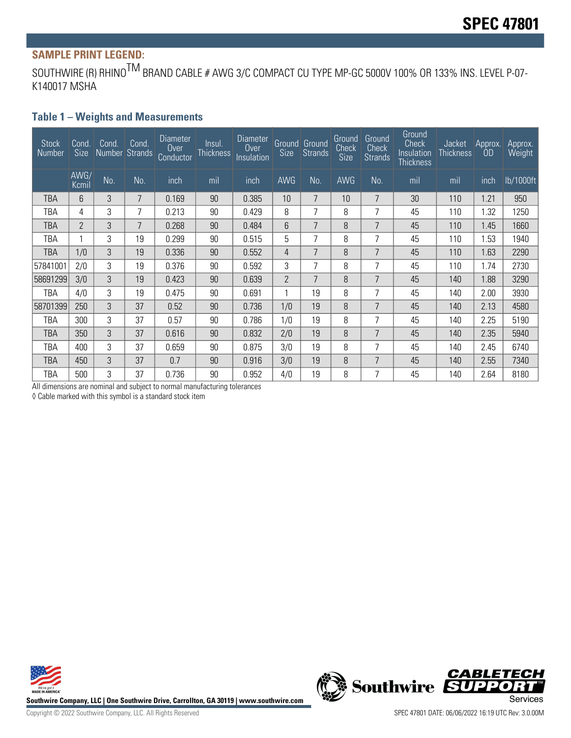# **SAMPLE PRINT LEGEND:**

SOUTHWIRE (R) RHINO<sup>TM</sup> BRAND CABLE # AWG 3/C COMPACT CU TYPE MP-GC 5000V 100% OR 133% INS. LEVEL P-07-K140017 MSHA

#### **Table 1 – Weights and Measurements**

| <b>Stock</b><br>Number | Cond.<br>Size  | Cond.<br>Number Strands | Cond. | Diameter<br>0 <sub>ver</sub><br>Conductor | Insul.<br><b>Thickness</b> | Diameter<br>Over<br>Insulation | Size           | <b>Ground</b> Ground<br>Strands | Ground<br>Check<br><b>Size</b> | Ground<br>Check<br><b>Strands</b> | Ground<br><b>Check</b><br>Insulation<br><b>Thickness</b> | Jacket<br><b>Thickness</b> | Approx.<br>OD | Approx.<br>Weight |
|------------------------|----------------|-------------------------|-------|-------------------------------------------|----------------------------|--------------------------------|----------------|---------------------------------|--------------------------------|-----------------------------------|----------------------------------------------------------|----------------------------|---------------|-------------------|
|                        | AWG/<br>Kcmil  | No.                     | No.   | inch                                      | mil                        | inch                           | AWG            | No.                             | <b>AWG</b>                     | No.                               | mil                                                      | mil                        | inch          | lb/1000ft         |
| TBA                    | 6              | 3                       | 7     | 0.169                                     | 90                         | 0.385                          | 10             | 7                               | 10 <sup>1</sup>                | 7                                 | 30                                                       | 110                        | 1.21          | 950               |
| TBA                    | 4              | 3                       | 7     | 0.213                                     | 90                         | 0.429                          | 8              | 7                               | 8                              | $\overline{7}$                    | 45                                                       | 110                        | 1.32          | 1250              |
| TBA                    | $\overline{2}$ | 3                       | 7     | 0.268                                     | 90                         | 0.484                          | 6              | 7                               | 8                              | 7                                 | 45                                                       | 110                        | 1.45          | 1660              |
| TBA                    |                | 3                       | 19    | 0.299                                     | 90                         | 0.515                          | 5              | 7                               | 8                              | 7                                 | 45                                                       | 110                        | 1.53          | 1940              |
| TBA                    | 1/0            | 3                       | 19    | 0.336                                     | 90                         | 0.552                          | 4              | 7                               | 8                              | 7                                 | 45                                                       | 110                        | 1.63          | 2290              |
| 57841001               | 2/0            | 3                       | 19    | 0.376                                     | 90                         | 0.592                          | 3              | 7                               | 8                              | 7                                 | 45                                                       | 110                        | 1.74          | 2730              |
| 58691299               | 3/0            | 3                       | 19    | 0.423                                     | 90                         | 0.639                          | $\overline{2}$ | 7                               | 8                              | $\overline{7}$                    | 45                                                       | 140                        | 1.88          | 3290              |
| TBA                    | 4/0            | 3                       | 19    | 0.475                                     | 90                         | 0.691                          |                | 19                              | 8                              | 7                                 | 45                                                       | 140                        | 2.00          | 3930              |
| 58701399               | 250            | 3                       | 37    | 0.52                                      | 90                         | 0.736                          | 1/0            | 19                              | 8                              | 7                                 | 45                                                       | 140                        | 2.13          | 4580              |
| TBA                    | 300            | 3                       | 37    | 0.57                                      | 90                         | 0.786                          | 1/0            | 19                              | 8                              | 7                                 | 45                                                       | 140                        | 2.25          | 5190              |
| TBA                    | 350            | 3                       | 37    | 0.616                                     | 90                         | 0.832                          | 2/0            | 19                              | 8                              | 7                                 | 45                                                       | 140                        | 2.35          | 5940              |
| TBA                    | 400            | 3                       | 37    | 0.659                                     | 90                         | 0.875                          | 3/0            | 19                              | 8                              | 7                                 | 45                                                       | 140                        | 2.45          | 6740              |
| TBA                    | 450            | 3                       | 37    | 0.7                                       | 90                         | 0.916                          | 3/0            | 19                              | 8                              | 7                                 | 45                                                       | 140                        | 2.55          | 7340              |
| TBA                    | 500            | 3                       | 37    | 0.736                                     | 90                         | 0.952                          | 4/0            | 19                              | 8                              | 7                                 | 45                                                       | 140                        | 2.64          | 8180              |

All dimensions are nominal and subject to normal manufacturing tolerances

◊ Cable marked with this symbol is a standard stock item